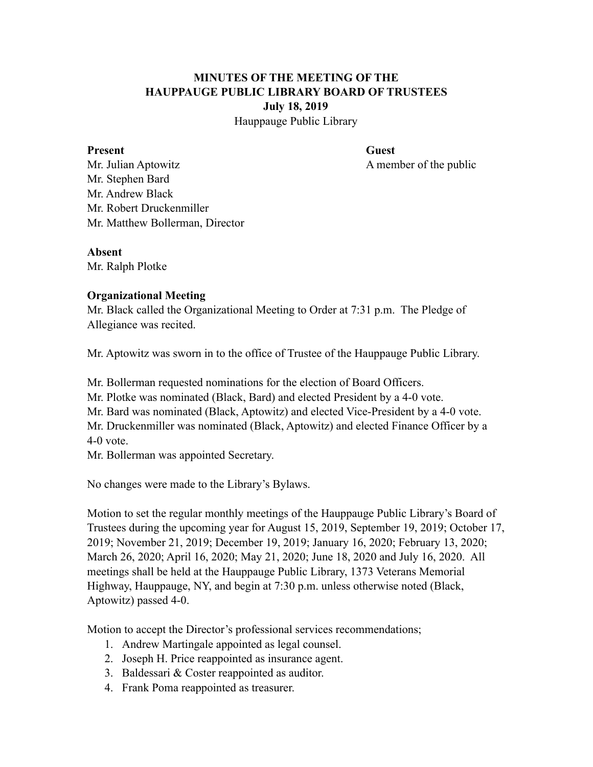## **MINUTES OF THE MEETING OF THE HAUPPAUGE PUBLIC LIBRARY BOARD OF TRUSTEES July 18, 2019**

Hauppauge Public Library

#### **Present** Guest

Mr. Julian Aptowitz A member of the public Mr. Stephen Bard Mr. Andrew Black Mr. Robert Druckenmiller Mr. Matthew Bollerman, Director

#### **Absent**

Mr. Ralph Plotke

## **Organizational Meeting**

Mr. Black called the Organizational Meeting to Order at 7:31 p.m. The Pledge of Allegiance was recited.

Mr. Aptowitz was sworn in to the office of Trustee of the Hauppauge Public Library.

Mr. Bollerman requested nominations for the election of Board Officers.

Mr. Plotke was nominated (Black, Bard) and elected President by a 4-0 vote.

Mr. Bard was nominated (Black, Aptowitz) and elected Vice-President by a 4-0 vote.

Mr. Druckenmiller was nominated (Black, Aptowitz) and elected Finance Officer by a 4-0 vote.

Mr. Bollerman was appointed Secretary.

No changes were made to the Library's Bylaws.

Motion to set the regular monthly meetings of the Hauppauge Public Library's Board of Trustees during the upcoming year for August 15, 2019, September 19, 2019; October 17, 2019; November 21, 2019; December 19, 2019; January 16, 2020; February 13, 2020; March 26, 2020; April 16, 2020; May 21, 2020; June 18, 2020 and July 16, 2020. All meetings shall be held at the Hauppauge Public Library, 1373 Veterans Memorial Highway, Hauppauge, NY, and begin at 7:30 p.m. unless otherwise noted (Black, Aptowitz) passed 4-0.

Motion to accept the Director's professional services recommendations;

- 1. Andrew Martingale appointed as legal counsel.
- 2. Joseph H. Price reappointed as insurance agent.
- 3. Baldessari & Coster reappointed as auditor.
- 4. Frank Poma reappointed as treasurer.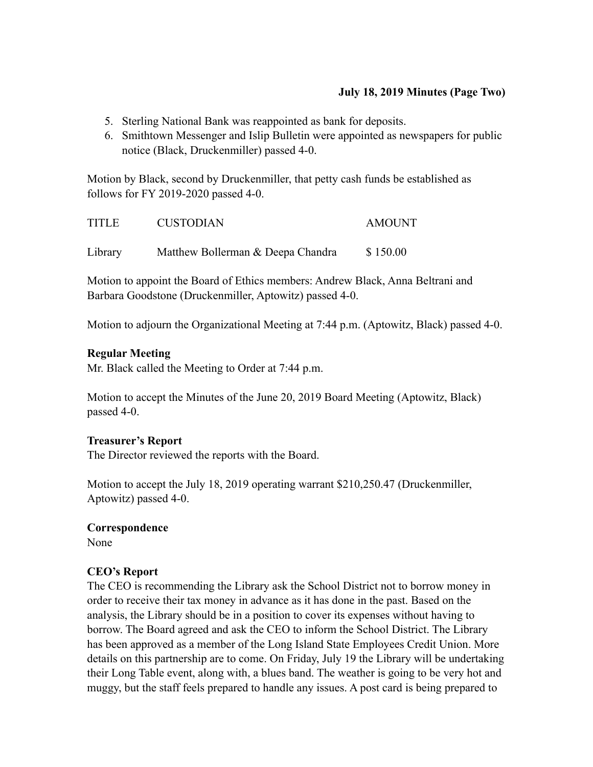## **July 18, 2019 Minutes (Page Two)**

- 5. Sterling National Bank was reappointed as bank for deposits.
- 6. Smithtown Messenger and Islip Bulletin were appointed as newspapers for public notice (Black, Druckenmiller) passed 4-0.

Motion by Black, second by Druckenmiller, that petty cash funds be established as follows for FY 2019-2020 passed 4-0.

| <b>TITLE</b> | <b>CUSTODIAN</b>                  | <b>AMOUNT</b> |
|--------------|-----------------------------------|---------------|
| Library      | Matthew Bollerman & Deepa Chandra | \$150.00      |

Motion to appoint the Board of Ethics members: Andrew Black, Anna Beltrani and Barbara Goodstone (Druckenmiller, Aptowitz) passed 4-0.

Motion to adjourn the Organizational Meeting at 7:44 p.m. (Aptowitz, Black) passed 4-0.

### **Regular Meeting**

Mr. Black called the Meeting to Order at 7:44 p.m.

Motion to accept the Minutes of the June 20, 2019 Board Meeting (Aptowitz, Black) passed 4-0.

#### **Treasurer's Report**

The Director reviewed the reports with the Board.

Motion to accept the July 18, 2019 operating warrant \$210,250.47 (Druckenmiller, Aptowitz) passed 4-0.

#### **Correspondence**

None

## **CEO's Report**

The CEO is recommending the Library ask the School District not to borrow money in order to receive their tax money in advance as it has done in the past. Based on the analysis, the Library should be in a position to cover its expenses without having to borrow. The Board agreed and ask the CEO to inform the School District. The Library has been approved as a member of the Long Island State Employees Credit Union. More details on this partnership are to come. On Friday, July 19 the Library will be undertaking their Long Table event, along with, a blues band. The weather is going to be very hot and muggy, but the staff feels prepared to handle any issues. A post card is being prepared to